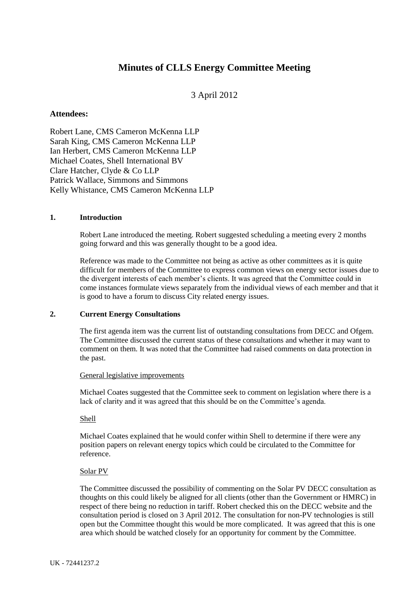# **Minutes of CLLS Energy Committee Meeting**

## 3 April 2012

## **Attendees:**

Robert Lane, CMS Cameron McKenna LLP Sarah King, CMS Cameron McKenna LLP Ian Herbert, CMS Cameron McKenna LLP Michael Coates, Shell International BV Clare Hatcher, Clyde & Co LLP Patrick Wallace, Simmons and Simmons Kelly Whistance, CMS Cameron McKenna LLP

## **1. Introduction**

Robert Lane introduced the meeting. Robert suggested scheduling a meeting every 2 months going forward and this was generally thought to be a good idea.

Reference was made to the Committee not being as active as other committees as it is quite difficult for members of the Committee to express common views on energy sector issues due to the divergent interests of each member's clients. It was agreed that the Committee could in come instances formulate views separately from the individual views of each member and that it is good to have a forum to discuss City related energy issues.

#### **2. Current Energy Consultations**

The first agenda item was the current list of outstanding consultations from DECC and Ofgem. The Committee discussed the current status of these consultations and whether it may want to comment on them. It was noted that the Committee had raised comments on data protection in the past.

#### General legislative improvements

Michael Coates suggested that the Committee seek to comment on legislation where there is a lack of clarity and it was agreed that this should be on the Committee's agenda.

#### Shell

Michael Coates explained that he would confer within Shell to determine if there were any position papers on relevant energy topics which could be circulated to the Committee for reference.

#### Solar PV

The Committee discussed the possibility of commenting on the Solar PV DECC consultation as thoughts on this could likely be aligned for all clients (other than the Government or HMRC) in respect of there being no reduction in tariff. Robert checked this on the DECC website and the consultation period is closed on 3 April 2012. The consultation for non-PV technologies is still open but the Committee thought this would be more complicated. It was agreed that this is one area which should be watched closely for an opportunity for comment by the Committee.